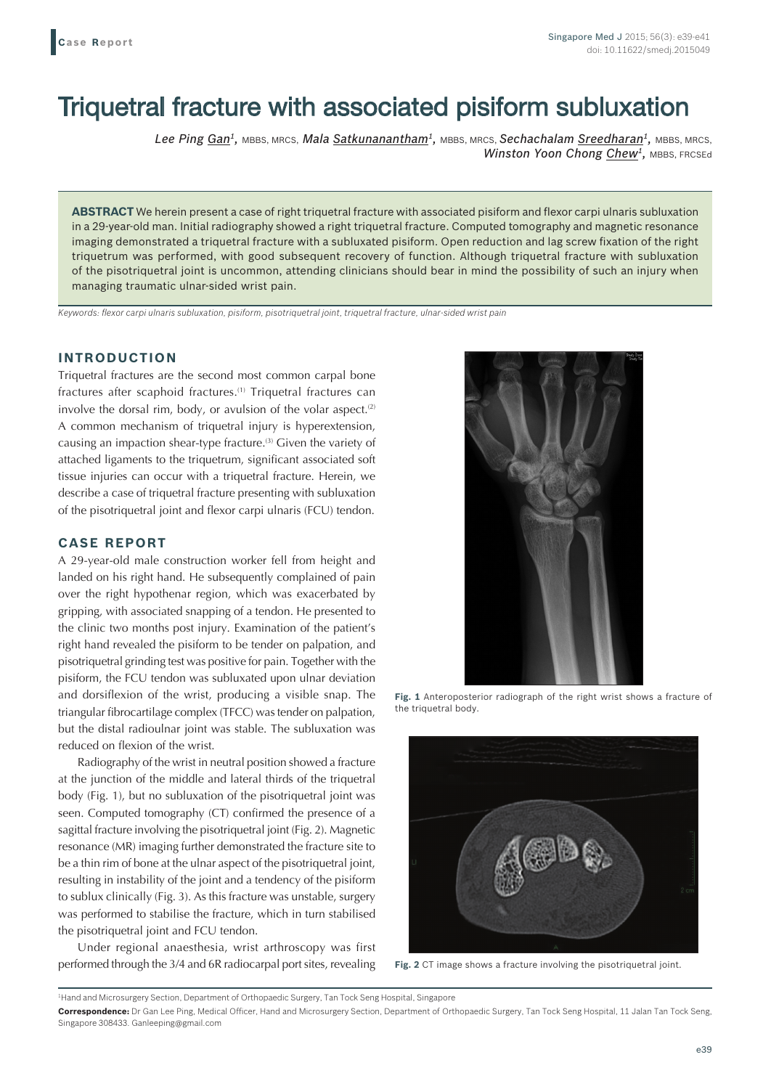# Triquetral fracture with associated pisiform subluxation

*Lee Ping Gan1,* MBBS, MRCS, *Mala Satkunanantham1,* MBBS, MRCS, *Sechachalam Sreedharan1,* MBBS, MRCS, *Winston Yoon Chong Chew<sup>1</sup>*, MBBS, FRCSEd

**ABSTRACT** We herein present a case of right triquetral fracture with associated pisiform and flexor carpi ulnaris subluxation in a 29-year-old man. Initial radiography showed a right triquetral fracture. Computed tomography and magnetic resonance imaging demonstrated a triquetral fracture with a subluxated pisiform. Open reduction and lag screw fixation of the right triquetrum was performed, with good subsequent recovery of function. Although triquetral fracture with subluxation of the pisotriquetral joint is uncommon, attending clinicians should bear in mind the possibility of such an injury when managing traumatic ulnar-sided wrist pain.

*Keywords: flexor carpi ulnaris subluxation, pisiform, pisotriquetral joint, triquetral fracture, ulnar-sided wrist pain*

### **INTRODUCTION**

Triquetral fractures are the second most common carpal bone fractures after scaphoid fractures.(1) Triquetral fractures can involve the dorsal rim, body, or avulsion of the volar aspect. $(2)$ A common mechanism of triquetral injury is hyperextension, causing an impaction shear-type fracture.<sup>(3)</sup> Given the variety of attached ligaments to the triquetrum, significant associated soft tissue injuries can occur with a triquetral fracture. Herein, we describe a case of triquetral fracture presenting with subluxation of the pisotriquetral joint and flexor carpi ulnaris (FCU) tendon.

#### **CASE REPORT**

A 29-year-old male construction worker fell from height and landed on his right hand. He subsequently complained of pain over the right hypothenar region, which was exacerbated by gripping, with associated snapping of a tendon. He presented to the clinic two months post injury. Examination of the patient's right hand revealed the pisiform to be tender on palpation, and pisotriquetral grinding test was positive for pain. Together with the pisiform, the FCU tendon was subluxated upon ulnar deviation and dorsiflexion of the wrist, producing a visible snap. The triangular fibrocartilage complex (TFCC) was tender on palpation, but the distal radioulnar joint was stable. The subluxation was reduced on flexion of the wrist.

Radiography of the wrist in neutral position showed a fracture at the junction of the middle and lateral thirds of the triquetral body (Fig. 1), but no subluxation of the pisotriquetral joint was seen. Computed tomography (CT) confirmed the presence of a sagittal fracture involving the pisotriquetral joint (Fig. 2). Magnetic resonance (MR) imaging further demonstrated the fracture site to be a thin rim of bone at the ulnar aspect of the pisotriquetral joint, resulting in instability of the joint and a tendency of the pisiform to sublux clinically (Fig. 3). As this fracture was unstable, surgery was performed to stabilise the fracture, which in turn stabilised the pisotriquetral joint and FCU tendon.

Under regional anaesthesia, wrist arthroscopy was first performed through the 3/4 and 6R radiocarpal port sites, revealing



**Fig. 1** Anteroposterior radiograph of the right wrist shows a fracture of the triquetral body.



**Fig. 2** CT image shows a fracture involving the pisotriquetral joint.

1 Hand and Microsurgery Section, Department of Orthopaedic Surgery, Tan Tock Seng Hospital, Singapore

**Correspondence:** Dr Gan Lee Ping, Medical Officer, Hand and Microsurgery Section, Department of Orthopaedic Surgery, Tan Tock Seng Hospital, 11 Jalan Tan Tock Seng, Singapore 308433. Ganleeping@gmail.com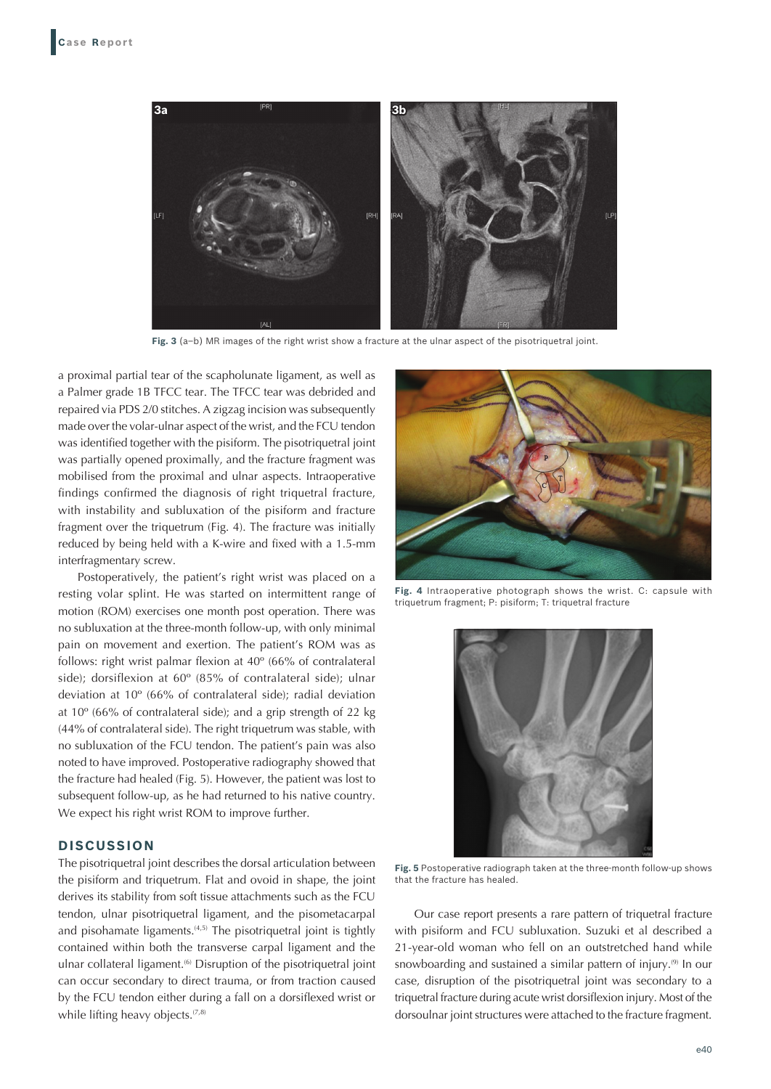

**Fig. 3** (a–b) MR images of the right wrist show a fracture at the ulnar aspect of the pisotriquetral joint.

a proximal partial tear of the scapholunate ligament, as well as a Palmer grade 1B TFCC tear. The TFCC tear was debrided and repaired via PDS 2/0 stitches. A zigzag incision was subsequently made over the volar-ulnar aspect of the wrist, and the FCU tendon was identified together with the pisiform. The pisotriquetral joint was partially opened proximally, and the fracture fragment was mobilised from the proximal and ulnar aspects. Intraoperative findings confirmed the diagnosis of right triquetral fracture, with instability and subluxation of the pisiform and fracture fragment over the triquetrum (Fig. 4). The fracture was initially reduced by being held with a K-wire and fixed with a 1.5-mm interfragmentary screw.

Postoperatively, the patient's right wrist was placed on a resting volar splint. He was started on intermittent range of motion (ROM) exercises one month post operation. There was no subluxation at the three-month follow-up, with only minimal pain on movement and exertion. The patient's ROM was as follows: right wrist palmar flexion at 40º (66% of contralateral side); dorsiflexion at 60º (85% of contralateral side); ulnar deviation at 10º (66% of contralateral side); radial deviation at 10º (66% of contralateral side); and a grip strength of 22 kg (44% of contralateral side). The right triquetrum was stable, with no subluxation of the FCU tendon. The patient's pain was also noted to have improved. Postoperative radiography showed that the fracture had healed (Fig. 5). However, the patient was lost to subsequent follow-up, as he had returned to his native country. We expect his right wrist ROM to improve further.

## **DISCUSSION**

The pisotriquetral joint describes the dorsal articulation between the pisiform and triquetrum. Flat and ovoid in shape, the joint derives its stability from soft tissue attachments such as the FCU tendon, ulnar pisotriquetral ligament, and the pisometacarpal and pisohamate ligaments.<sup>(4,5)</sup> The pisotriquetral joint is tightly contained within both the transverse carpal ligament and the ulnar collateral ligament.<sup>(6)</sup> Disruption of the pisotriquetral joint can occur secondary to direct trauma, or from traction caused by the FCU tendon either during a fall on a dorsiflexed wrist or while lifting heavy objects.<sup>(7,8)</sup>



**Fig. 4** Intraoperative photograph shows the wrist. C: capsule with triquetrum fragment; P: pisiform; T: triquetral fracture



**Fig. 5** Postoperative radiograph taken at the three-month follow-up shows that the fracture has healed.

Our case report presents a rare pattern of triquetral fracture with pisiform and FCU subluxation. Suzuki et al described a 21-year-old woman who fell on an outstretched hand while snowboarding and sustained a similar pattern of injury.<sup>(9)</sup> In our case, disruption of the pisotriquetral joint was secondary to a triquetral fracture during acute wrist dorsiflexion injury. Most of the dorsoulnar joint structures were attached to the fracture fragment.